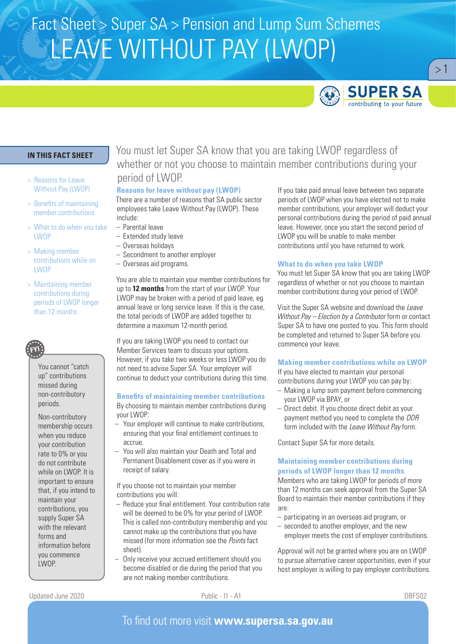# Fact Sheet > Super SA > Pension and Lump Sum Schemes LEAVE WITHOUT PAY (LWOP)



 $>1$ 

## **IN THIS FACT SHEET**

- > Reasons for Leave Without Pay (LWOP)
- > Benefits of maintaining member contributions
- > What to do when you take LWOP
- > Making member contributions while on **LWOP**
- > Maintaining member contributions during periods of LWOP longer than 12 months



You cannot "catch up" contributions missed during non-contributory periods.

Non-contributory membership occurs when you reduce your contribution rate to 0% or you do not contribute while on LWOP. It is important to ensure that, if you intend to maintain your contributions, you supply Super SA with the relevant forms and information before you commence LWOP.

You must let Super SA know that you are taking LWOP regardless of whether or not you choose to maintain member contributions during your period of LWOP.

### **Reasons for leave without pay (LWOP)**

There are a number of reasons that SA public sector employees take Leave Without Pay (LWOP). These include:

- Parental leave
- Extended study leave
- Overseas holidays
- Secondment to another employer
- Overseas aid programs.

You are able to maintain your member contributions for up to **12 months** from the start of your LWOP. Your LWOP may be broken with a period of paid leave, eg annual leave or long service leave. If this is the case, the total periods of LWOP are added together to determine a maximum 12-month period.

If you are taking LWOP you need to contact our Member Services team to discuss your options. However, if you take two weeks or less LWOP you do not need to advise Super SA. Your employer will continue to deduct your contributions during this time.

#### **Benefits of maintaining member contributions**

By choosing to maintain member contributions during your LWOP:

- Your employer will continue to make contributions, ensuring that your final entitlement continues to accrue.
- You will also maintain your Death and Total and Permanent Disablement cover as if you were in receipt of salary.

If you choose not to maintain your member contributions you will:

- Reduce your final entitlement. Your contribution rate will be deemed to be 0% for your period of LWOP. This is called non-contributory membership and you cannot make up the contributions that you have missed (for more information see the *Points* fact sheet).
- Only receive your accrued entitlement should you become disabled or die during the period that you are not making member contributions.

If you take paid annual leave between two separate periods of LWOP when you have elected not to make member contributions, your employer will deduct your personal contributions during the period of paid annual leave. However, once you start the second period of LWOP you will be unable to make member contributions until you have returned to work.

#### **What to do when you take LWOP**

You must let Super SA know that you are taking LWOP regardless of whether or not you choose to maintain member contributions during your period of LWOP.

Visit the Super SA website and download the *Leave Without Pay – Election by a Contributor* form or contact Super SA to have one posted to you. This form should be completed and returned to Super SA before you commence your leave.

### **Making member contributions while on LWOP**

If you have elected to maintain your personal contributions during your LWOP you can pay by:

- Making a lump sum payment before commencing your LWOP via BPAY, or
- Direct debit. If you choose direct debit as your payment method you need to complete the *DDR* form included with the *Leave Without Pay* form.

Contact Super SA for more details.

## **Maintaining member contributions during periods of LWOP longer than 12 months**

Members who are taking LWOP for periods of more than 12 months can seek approval from the Super SA Board to maintain their member contributions if they are:

- participating in an overseas aid program, or
- seconded to another employer, and the new employer meets the cost of employer contributions.

Approval will not be granted where you are on LWOP to pursue alternative career opportunities, even if your host employer is willing to pay employer contributions.